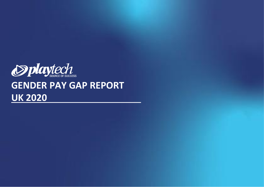

## **GENDER PAY GAP REPORT UK 2020**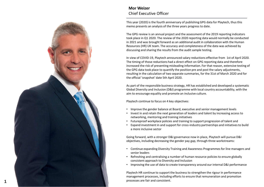

**1**

## **Mor Weizer** Chief Executive Officer

This year (2020) is the fourth anniversary of publishing GPG data for Playtech, thus this memo presents an analysis of the three years progress to date.

The GPG review is an annual project and the assessment of the 2019 reporting indicators took place in Q1 2020. The review of the 2020 reporting data would normally be conducted in 2021 and was brought forward as an additional audit in collaboration with the Human Resources (HR) UK team. The accuracy and completeness of the data was achieved by discussing and sharing the results from the audit sample testing.

In view of COVID -19, Playtech announced salary reductions effective from 1st of April 2020. The timing of those reductions had a direct effect on GPG reporting data and therefore increased the risk of presenting misleading information. For that reason, extensive testing of the GPG data took place to quantify the position pre and post the salary adjustments, resulting in the calculation of two separate summaries, for the 31st of March 2020 and for the official 'snapshot' date 5th April 2020.

As part of the responsible business strategy, HR has established and developed a systematic Global Diversity and Inclusion (D&I) programme with local country accountability, with the aim to encourage equality and promote an inclusive culture.

Playtech continue to focus on 4 key objectives:

- Improve the gender balance at Board, executive and senior management levels
- Invest in and retain the next generation of leaders and talent by increasing access to networking, mentoring and training initiatives
- Futureproof workplace policies and training to support progression of talent and
- Expand investment in and support for cross-industry partnerships and initiatives to build a more inclusive sector

Going forward, with a stronger D&I governance now in place, Playtech will pursue D&I objectives, including decreasing the gender pay gap, through three workstreams:

- Continue expanding Diversity Training and Awareness Programmesfor line managers and senior leaders
- Refreshing and centralising a number of human resource policies to ensure globally consistent approach to Diversity and Inclusion
- Improving the use of data to create transparency around our internal D&I performance

Playtech HR continue to support the business to strengthen the rigour in performance management processes, including efforts to ensure that remuneration and promotion processes are fair and consistent.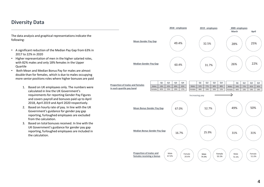## **Diversity Data**

The data analysis and graphical representations indicate the following:

- A significant reduction of the Median Pay Gap from 63% in 2017 to 22% in 2020
- Higher representation of men in the higher salaried roles, with 82% males and only 18% females in the Upper Quartile
- Both Mean and Median Bonus Pay for males are almost double than for females, which is due to males occupying more senior positions roles where higher bonuses are paid
	- 1. Based on UK employees only. The numbers were calculated in line the UK Government's requirements for reporting Gender Pay Figures and covers payroll and bonuses paid up to April 2018, April 2019 and April 2020 respectively.
	- 2. Based on hourly rate of pay. In line with the UK Government's guidance for gender pay gap reporting, furloughed employees are excluded from the calculation.
	- 3. Based on total bonuses received. In line with the UK Government's guidance for gender pay gap reporting, furloughed employees are included in the calculation.